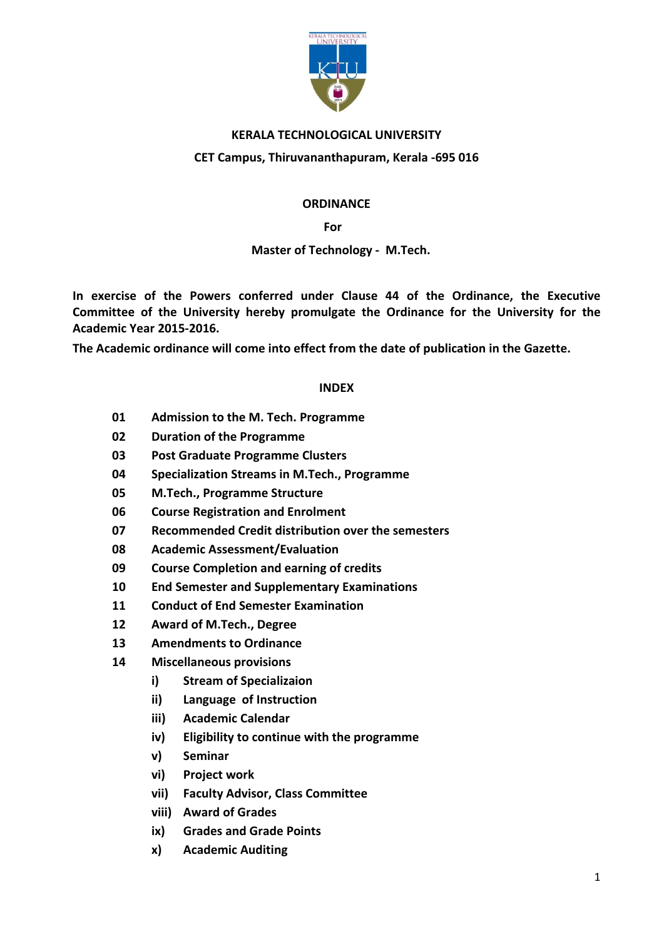

## KERALA TECHNOLOGICAL UNIVERSITY

### CET Campus, Thiruvananthapuram, Kerala -695 016

#### **ORDINANCE**

### **For the contract of the contract of the State State State State State State State State State State State State**

#### Master of Technology - M.Tech.

In exercise of the Powers conferred under Clause 44 of the Ordinance, the Executive Committee of the University hereby promulgate the Ordinance for the University for the Academic Year 2015-2016.

The Academic ordinance will come into effect from the date of publication in the Gazette.

#### INDEX

- 01 Admission to the M. Tech. Programme
- 02 Duration of the Programme
- 03 Post Graduate Programme Clusters
- 04 Specialization Streams in M.Tech., Programme
- 05 M.Tech., Programme Structure
- 06 Course Registration and Enrolment
- 07 Recommended Credit distribution over the semesters
- 08 Academic Assessment/Evaluation
- 09 Course Completion and earning of credits
- 10 End Semester and Supplementary Examinations
- 11 Conduct of End Semester Examination
- 12 Award of M.Tech., Degree
- 13 Amendments to Ordinance
- 14 Miscellaneous provisions
	- i) Stream of Specializaion
	- ii) Language of Instruction
	- iii) Academic Calendar
	- iv) Eligibility to continue with the programme
	- v) Seminar
	- vi) Project work
	- vii) Faculty Advisor, Class Committee
	- viii) Award of Grades
	- ix) Grades and Grade Points
	- x) Academic Auditing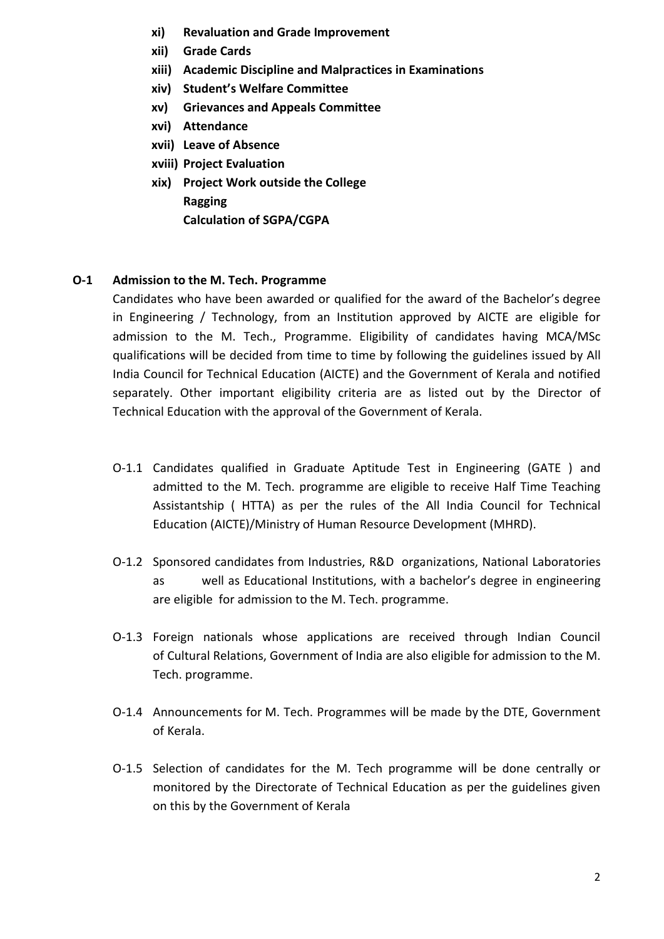- xi) Revaluation and Grade Improvement
- xii) Grade Cards
- xiii) Academic Discipline and Malpractices in Examinations
- xiv) Student's Welfare Committee
- xv) Grievances and Appeals Committee
- xvi) Attendance
- xvii) Leave of Absence
- xviii) Project Evaluation
- xix) Project Work outside the College Ragging Calculation of SGPA/CGPA

### O-1 Admission to the M. Tech. Programme

Candidates who have been awarded or qualified for the award of the Bachelor's degree in Engineering / Technology, from an Institution approved by AICTE are eligible for admission to the M. Tech., Programme. Eligibility of candidates having MCA/MSc qualifications will be decided from time to time by following the guidelines issued by All India Council for Technical Education (AICTE) and the Government of Kerala and notified separately. Other important eligibility criteria are as listed out by the Director of Technical Education with the approval of the Government of Kerala.

- O-1.1 Candidates qualified in Graduate Aptitude Test in Engineering (GATE ) and admitted to the M. Tech. programme are eligible to receive Half Time Teaching Assistantship ( HTTA) as per the rules of the All India Council for Technical Education (AICTE)/Ministry of Human Resource Development (MHRD).
- O-1.2 Sponsored candidates from Industries, R&D organizations, National Laboratories as well as Educational Institutions, with a bachelor's degree in engineering are eligible for admission to the M. Tech. programme.
- O-1.3 Foreign nationals whose applications are received through Indian Council of Cultural Relations, Government of India are also eligible for admission to the M. Tech. programme.
- O-1.4 Announcements for M. Tech. Programmes will be made by the DTE, Government of Kerala.
- O-1.5 Selection of candidates for the M. Tech programme will be done centrally or monitored by the Directorate of Technical Education as per the guidelines given on this by the Government of Kerala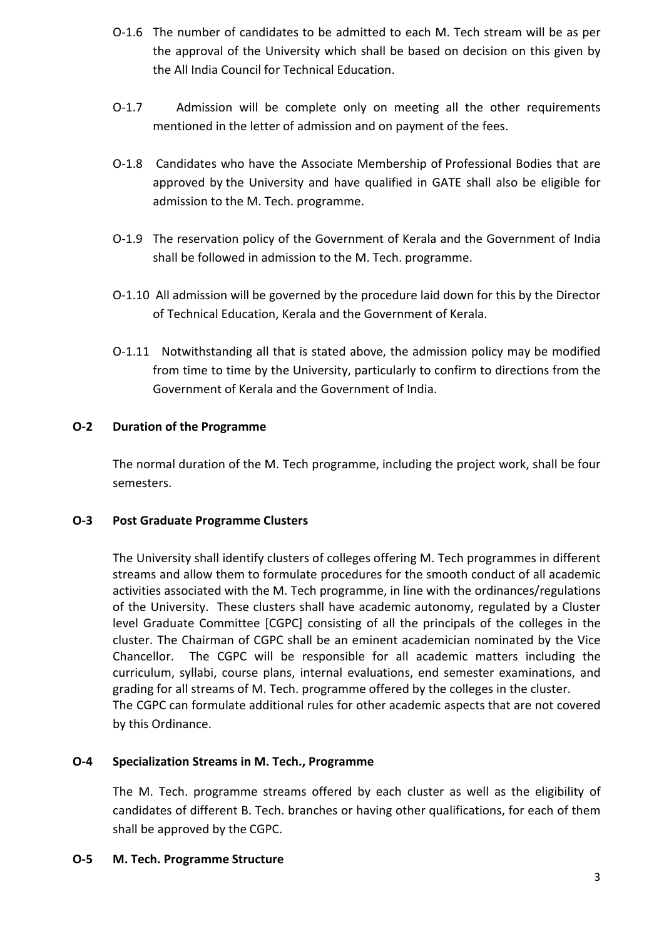- O-1.6 The number of candidates to be admitted to each M. Tech stream will be as per the approval of the University which shall be based on decision on this given by the All India Council for Technical Education.
- O-1.7 Admission will be complete only on meeting all the other requirements mentioned in the letter of admission and on payment of the fees.
- O-1.8 Candidates who have the Associate Membership of Professional Bodies that are approved by the University and have qualified in GATE shall also be eligible for admission to the M. Tech. programme.
- O-1.9 The reservation policy of the Government of Kerala and the Government of India shall be followed in admission to the M. Tech. programme.
- O-1.10 All admission will be governed by the procedure laid down for this by the Director of Technical Education, Kerala and the Government of Kerala.
- O-1.11 Notwithstanding all that is stated above, the admission policy may be modified from time to time by the University, particularly to confirm to directions from the Government of Kerala and the Government of India.

# O-2 Duration of the Programme

The normal duration of the M. Tech programme, including the project work, shall be four semesters.

# O-3 Post Graduate Programme Clusters

The University shall identify clusters of colleges offering M. Tech programmes in different streams and allow them to formulate procedures for the smooth conduct of all academic activities associated with the M. Tech programme, in line with the ordinances/regulations of the University. These clusters shall have academic autonomy, regulated by a Cluster level Graduate Committee [CGPC] consisting of all the principals of the colleges in the cluster. The Chairman of CGPC shall be an eminent academician nominated by the Vice Chancellor. The CGPC will be responsible for all academic matters including the curriculum, syllabi, course plans, internal evaluations, end semester examinations, and grading for all streams of M. Tech. programme offered by the colleges in the cluster. The CGPC can formulate additional rules for other academic aspects that are not covered by this Ordinance.

# O-4 Specialization Streams in M. Tech., Programme

The M. Tech. programme streams offered by each cluster as well as the eligibility of candidates of different B. Tech. branches or having other qualifications, for each of them shall be approved by the CGPC.

# O-5 M. Tech. Programme Structure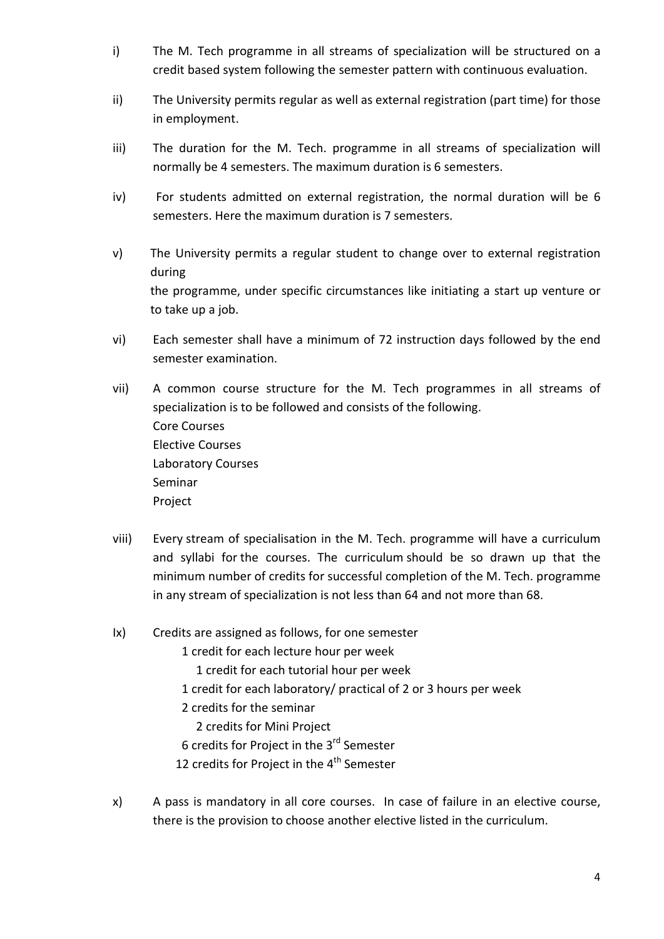- i) The M. Tech programme in all streams of specialization will be structured on a credit based system following the semester pattern with continuous evaluation.
- ii) The University permits regular as well as external registration (part time) for those in employment.
- iii) The duration for the M. Tech. programme in all streams of specialization will normally be 4 semesters. The maximum duration is 6 semesters.
- iv) For students admitted on external registration, the normal duration will be 6 semesters. Here the maximum duration is 7 semesters.
- v) The University permits a regular student to change over to external registration during the programme, under specific circumstances like initiating a start up venture or to take up a job.
- vi) Each semester shall have a minimum of 72 instruction days followed by the end semester examination.
- vii) A common course structure for the M. Tech programmes in all streams of specialization is to be followed and consists of the following. Core Courses Elective Courses Laboratory Courses Seminar Project
- viii) Every stream of specialisation in the M. Tech. programme will have a curriculum and syllabi for the courses. The curriculum should be so drawn up that the minimum number of credits for successful completion of the M. Tech. programme in any stream of specialization is not less than 64 and not more than 68.
- Ix) Credits are assigned as follows, for one semester
	- 1 credit for each lecture hour per week
		- 1 credit for each tutorial hour per week
	- 1 credit for each laboratory/ practical of 2 or 3 hours per week
	- 2 credits for the seminar
		- 2 credits for Mini Project
	- 6 credits for Project in the 3rd Semester
	- 12 credits for Project in the  $4<sup>th</sup>$  Semester
- x) A pass is mandatory in all core courses. In case of failure in an elective course, there is the provision to choose another elective listed in the curriculum.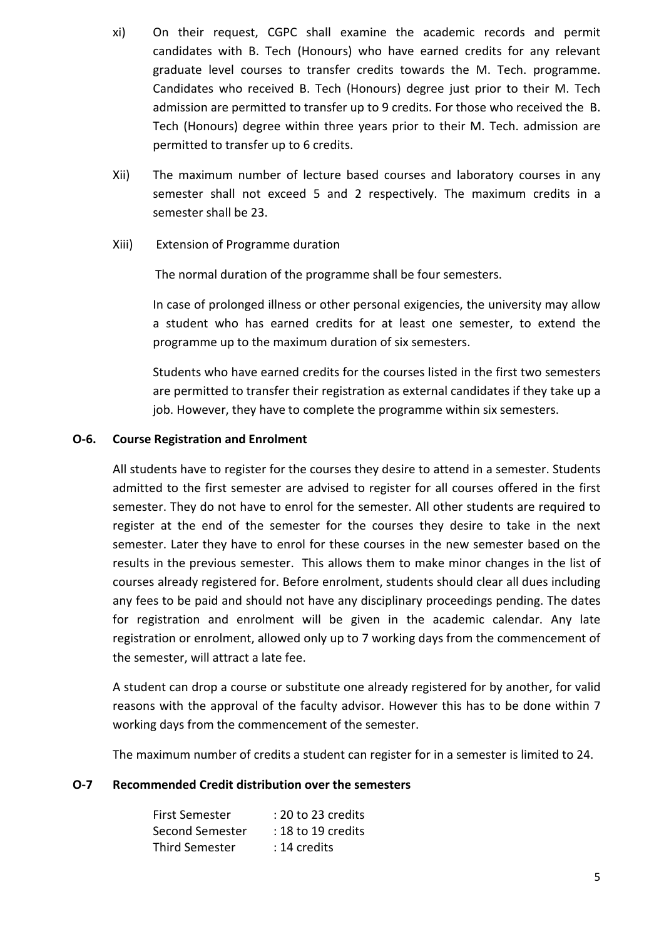- xi) On their request, CGPC shall examine the academic records and permit candidates with B. Tech (Honours) who have earned credits for any relevant graduate level courses to transfer credits towards the M. Tech. programme. Candidates who received B. Tech (Honours) degree just prior to their M. Tech admission are permitted to transfer up to 9 credits. For those who received the B. Tech (Honours) degree within three years prior to their M. Tech. admission are permitted to transfer up to 6 credits.
- Xii) The maximum number of lecture based courses and laboratory courses in any semester shall not exceed 5 and 2 respectively. The maximum credits in a semester shall be 23.
- Xiii) Extension of Programme duration

The normal duration of the programme shall be four semesters.

In case of prolonged illness or other personal exigencies, the university may allow a student who has earned credits for at least one semester, to extend the programme up to the maximum duration of six semesters.

Students who have earned credits for the courses listed in the first two semesters are permitted to transfer their registration as external candidates if they take up a job. However, they have to complete the programme within six semesters.

#### O-6. Course Registration and Enrolment

All students have to register for the courses they desire to attend in a semester. Students admitted to the first semester are advised to register for all courses offered in the first semester. They do not have to enrol for the semester. All other students are required to register at the end of the semester for the courses they desire to take in the next semester. Later they have to enrol for these courses in the new semester based on the results in the previous semester. This allows them to make minor changes in the list of courses already registered for. Before enrolment, students should clear all dues including any fees to be paid and should not have any disciplinary proceedings pending. The dates for registration and enrolment will be given in the academic calendar. Any late registration or enrolment, allowed only up to 7 working days from the commencement of the semester, will attract a late fee.

A student can drop a course or substitute one already registered for by another, for valid reasons with the approval of the faculty advisor. However this has to be done within 7 working days from the commencement of the semester.

The maximum number of credits a student can register for in a semester is limited to 24.

#### O-7 Recommended Credit distribution over the semesters

| <b>First Semester</b> | $: 20$ to 23 credits |
|-----------------------|----------------------|
| Second Semester       | $: 18$ to 19 credits |
| <b>Third Semester</b> | : 14 credits         |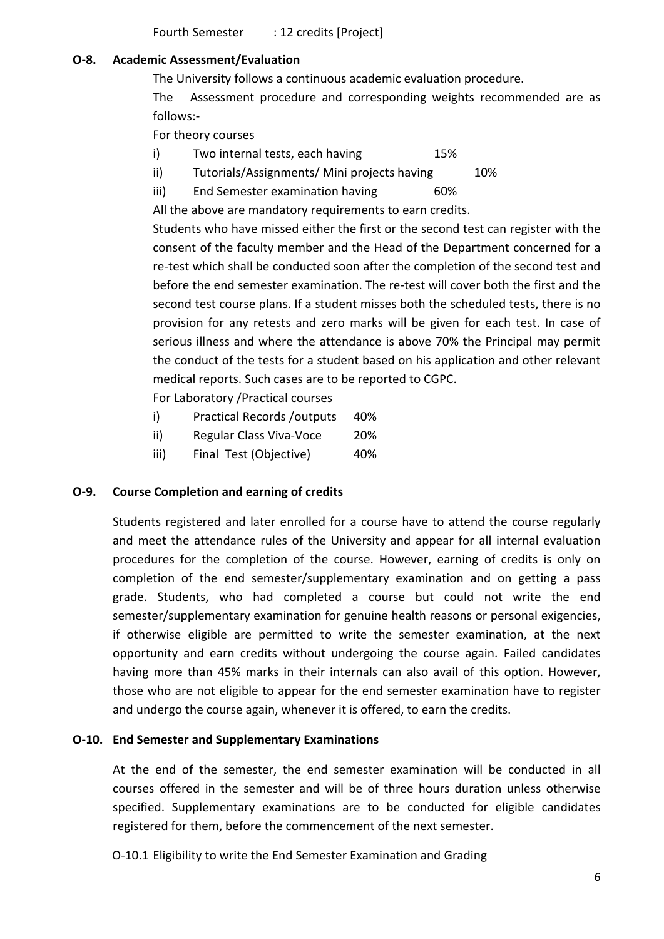Fourth Semester : 12 credits [Project]

### O-8. Academic Assessment/Evaluation

The University follows a continuous academic evaluation procedure.

The Assessment procedure and corresponding weights recommended are as follows:-

For theory courses

- i) Two internal tests, each having 15%
- ii) Tutorials/Assignments/ Mini projects having 10%
- iii) End Semester examination having 60%

All the above are mandatory requirements to earn credits.

Students who have missed either the first or the second test can register with the consent of the faculty member and the Head of the Department concerned for a re-test which shall be conducted soon after the completion of the second test and before the end semester examination. The re-test will cover both the first and the second test course plans. If a student misses both the scheduled tests, there is no provision for any retests and zero marks will be given for each test. In case of serious illness and where the attendance is above 70% the Principal may permit the conduct of the tests for a student based on his application and other relevant medical reports. Such cases are to be reported to CGPC.

For Laboratory /Practical courses

- i) Practical Records /outputs 40%
- ii) Regular Class Viva-Voce 20%
- iii) Final Test (Objective) 40%

# O-9. Course Completion and earning of credits

Students registered and later enrolled for a course have to attend the course regularly and meet the attendance rules of the University and appear for all internal evaluation procedures for the completion of the course. However, earning of credits is only on completion of the end semester/supplementary examination and on getting a pass grade. Students, who had completed a course but could not write the end semester/supplementary examination for genuine health reasons or personal exigencies, if otherwise eligible are permitted to write the semester examination, at the next opportunity and earn credits without undergoing the course again. Failed candidates having more than 45% marks in their internals can also avail of this option. However, those who are not eligible to appear for the end semester examination have to register and undergo the course again, whenever it is offered, to earn the credits.

#### O-10. End Semester and Supplementary Examinations

At the end of the semester, the end semester examination will be conducted in all courses offered in the semester and will be of three hours duration unless otherwise specified. Supplementary examinations are to be conducted for eligible candidates registered for them, before the commencement of the next semester.

O-10.1 Eligibility to write the End Semester Examination and Grading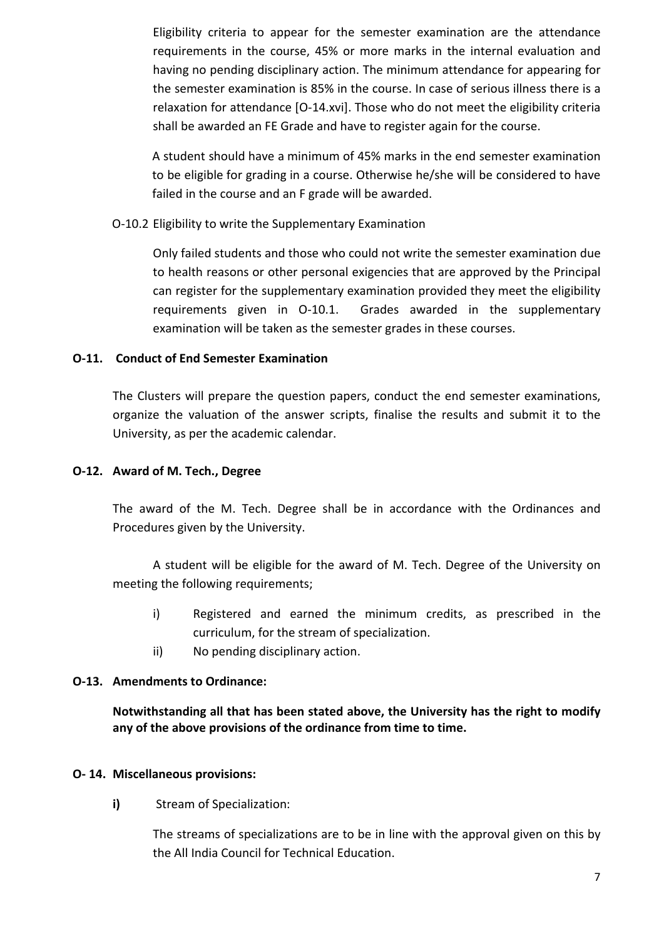Eligibility criteria to appear for the semester examination are the attendance requirements in the course, 45% or more marks in the internal evaluation and having no pending disciplinary action. The minimum attendance for appearing for the semester examination is 85% in the course. In case of serious illness there is a relaxation for attendance [O-14.xvi]. Those who do not meet the eligibility criteria shall be awarded an FE Grade and have to register again for the course.

A student should have a minimum of 45% marks in the end semester examination to be eligible for grading in a course. Otherwise he/she will be considered to have failed in the course and an F grade will be awarded.

O-10.2 Eligibility to write the Supplementary Examination

Only failed students and those who could not write the semester examination due to health reasons or other personal exigencies that are approved by the Principal can register for the supplementary examination provided they meet the eligibility requirements given in O-10.1. Grades awarded in the supplementary examination will be taken as the semester grades in these courses.

# O-11. Conduct of End Semester Examination

The Clusters will prepare the question papers, conduct the end semester examinations, organize the valuation of the answer scripts, finalise the results and submit it to the University, as per the academic calendar.

## O-12. Award of M. Tech., Degree

The award of the M. Tech. Degree shall be in accordance with the Ordinances and Procedures given by the University.

A student will be eligible for the award of M. Tech. Degree of the University on meeting the following requirements;

- i) Registered and earned the minimum credits, as prescribed in the curriculum, for the stream of specialization.
- ii) No pending disciplinary action.

# O-13. Amendments to Ordinance:

Notwithstanding all that has been stated above, the University has the right to modify any of the above provisions of the ordinance from time to time.

# O- 14. Miscellaneous provisions:

i) Stream of Specialization:

The streams of specializations are to be in line with the approval given on this by the All India Council for Technical Education.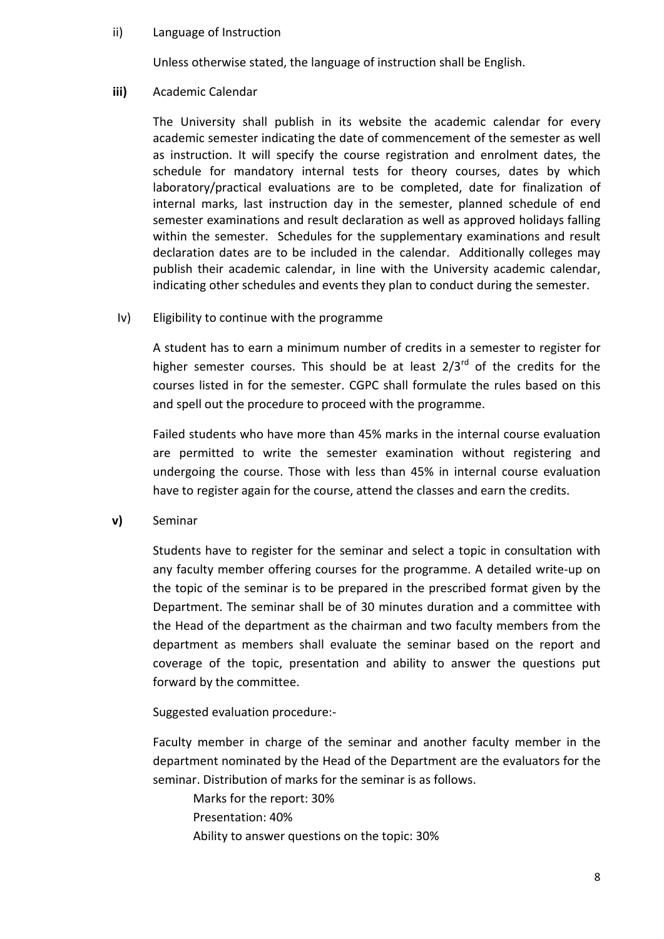#### ii) Language of Instruction

Unless otherwise stated, the language of instruction shall be English.

#### iii) Academic Calendar

The University shall publish in its website the academic calendar for every academic semester indicating the date of commencement of the semester as well as instruction. It will specify the course registration and enrolment dates, the schedule for mandatory internal tests for theory courses, dates by which laboratory/practical evaluations are to be completed, date for finalization of internal marks, last instruction day in the semester, planned schedule of end semester examinations and result declaration as well as approved holidays falling within the semester. Schedules for the supplementary examinations and result declaration dates are to be included in the calendar. Additionally colleges may publish their academic calendar, in line with the University academic calendar, indicating other schedules and events they plan to conduct during the semester.

#### Iv) Eligibility to continue with the programme

A student has to earn a minimum number of credits in a semester to register for higher semester courses. This should be at least  $2/3^{rd}$  of the credits for the courses listed in for the semester. CGPC shall formulate the rules based on this and spell out the procedure to proceed with the programme.

Failed students who have more than 45% marks in the internal course evaluation are permitted to write the semester examination without registering and undergoing the course. Those with less than 45% in internal course evaluation have to register again for the course, attend the classes and earn the credits.

v) Seminar

Students have to register for the seminar and select a topic in consultation with any faculty member offering courses for the programme. A detailed write-up on the topic of the seminar is to be prepared in the prescribed format given by the Department. The seminar shall be of 30 minutes duration and a committee with the Head of the department as the chairman and two faculty members from the department as members shall evaluate the seminar based on the report and coverage of the topic, presentation and ability to answer the questions put forward by the committee.

Suggested evaluation procedure:-

Faculty member in charge of the seminar and another faculty member in the department nominated by the Head of the Department are the evaluators for the seminar. Distribution of marks for the seminar is as follows.

Marks for the report: 30% Presentation: 40% Ability to answer questions on the topic: 30%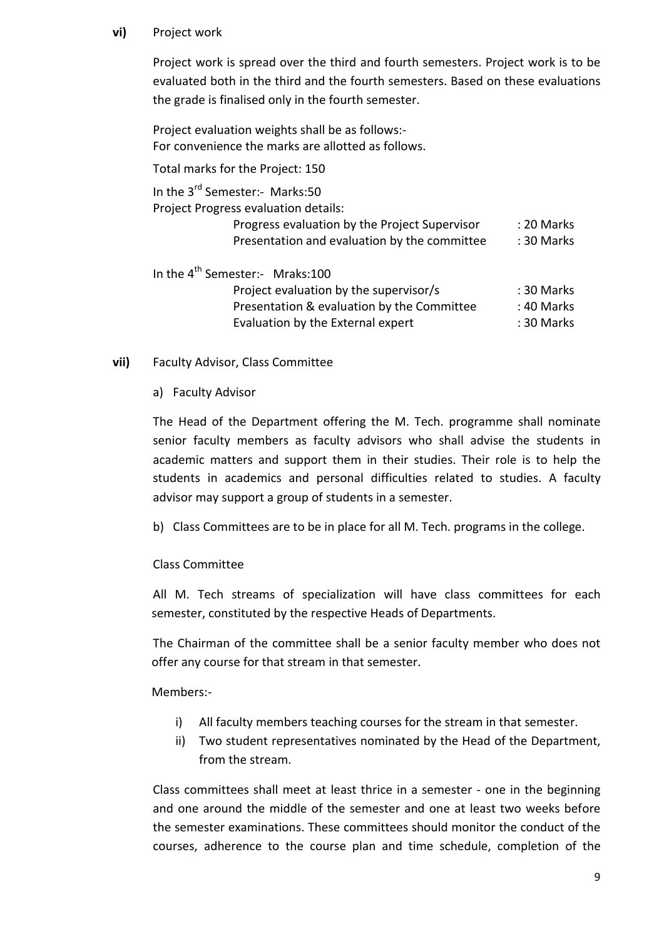### vi) Project work

Project work is spread over the third and fourth semesters. Project work is to be evaluated both in the third and the fourth semesters. Based on these evaluations the grade is finalised only in the fourth semester.

Project evaluation weights shall be as follows:- For convenience the marks are allotted as follows.

Total marks for the Project: 150

In the 3<sup>rd</sup> Semester:- Marks:50

Project Progress evaluation details:

|      | Progress evaluation by the Project Supervisor<br>Presentation and evaluation by the committee | : 20 Marks<br>: 30 Marks |
|------|-----------------------------------------------------------------------------------------------|--------------------------|
| th - |                                                                                               |                          |

In the  $4^{th}$  Semester:- Mraks:100

| : 30 Marks |
|------------|
| : 40 Marks |
| : 30 Marks |
|            |

# vii) Faculty Advisor, Class Committee

# a) Faculty Advisor

The Head of the Department offering the M. Tech. programme shall nominate senior faculty members as faculty advisors who shall advise the students in academic matters and support them in their studies. Their role is to help the students in academics and personal difficulties related to studies. A faculty advisor may support a group of students in a semester.

b) Class Committees are to be in place for all M. Tech. programs in the college.

# Class Committee

All M. Tech streams of specialization will have class committees for each semester, constituted by the respective Heads of Departments.

The Chairman of the committee shall be a senior faculty member who does not offer any course for that stream in that semester.

# Members:-

- i) All faculty members teaching courses for the stream in that semester.
- ii) Two student representatives nominated by the Head of the Department, from the stream.

Class committees shall meet at least thrice in a semester - one in the beginning and one around the middle of the semester and one at least two weeks before the semester examinations. These committees should monitor the conduct of the courses, adherence to the course plan and time schedule, completion of the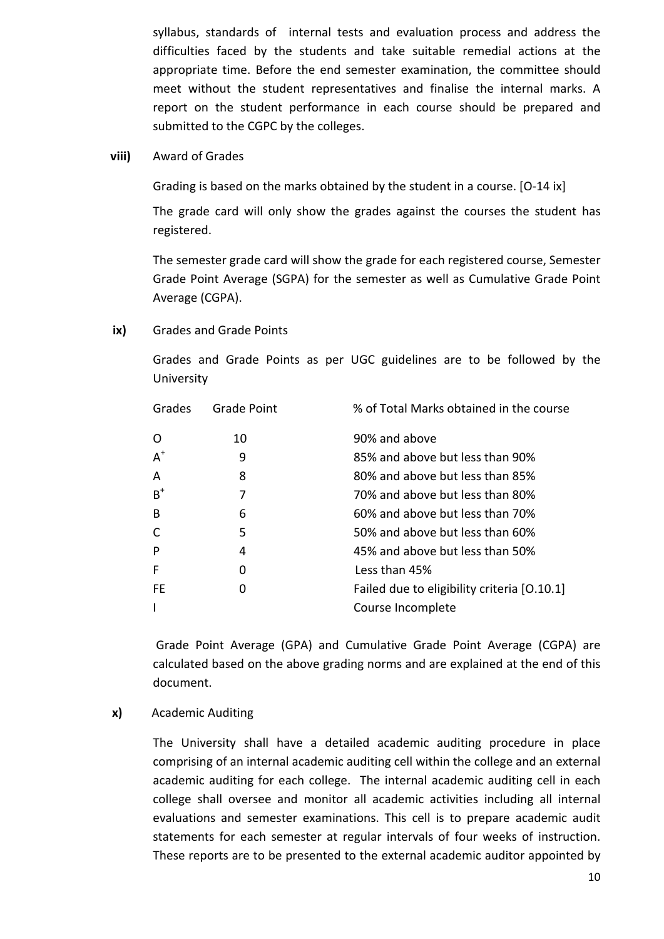syllabus, standards of internal tests and evaluation process and address the difficulties faced by the students and take suitable remedial actions at the appropriate time. Before the end semester examination, the committee should meet without the student representatives and finalise the internal marks. A report on the student performance in each course should be prepared and submitted to the CGPC by the colleges.

#### viii) Award of Grades

Grading is based on the marks obtained by the student in a course. [O-14 ix]

The grade card will only show the grades against the courses the student has registered.

The semester grade card will show the grade for each registered course, Semester Grade Point Average (SGPA) for the semester as well as Cumulative Grade Point Average (CGPA).

#### ix) Grades and Grade Points

Grades and Grade Points as per UGC guidelines are to be followed by the University

| Grades | <b>Grade Point</b> | % of Total Marks obtained in the course     |
|--------|--------------------|---------------------------------------------|
| O      | 10                 | 90% and above                               |
| $A^+$  | 9                  | 85% and above but less than 90%             |
| A      | 8                  | 80% and above but less than 85%             |
| $B^+$  |                    | 70% and above but less than 80%             |
| B      | 6                  | 60% and above but less than 70%             |
|        | 5                  | 50% and above but less than 60%             |
| P      | 4                  | 45% and above but less than 50%             |
| F      | 0                  | Less than 45%                               |
| FE     | O                  | Failed due to eligibility criteria [0.10.1] |
|        |                    | Course Incomplete                           |

Grade Point Average (GPA) and Cumulative Grade Point Average (CGPA) are calculated based on the above grading norms and are explained at the end of this document.

#### x) Academic Auditing

The University shall have a detailed academic auditing procedure in place comprising of an internal academic auditing cell within the college and an external academic auditing for each college. The internal academic auditing cell in each college shall oversee and monitor all academic activities including all internal evaluations and semester examinations. This cell is to prepare academic audit statements for each semester at regular intervals of four weeks of instruction. These reports are to be presented to the external academic auditor appointed by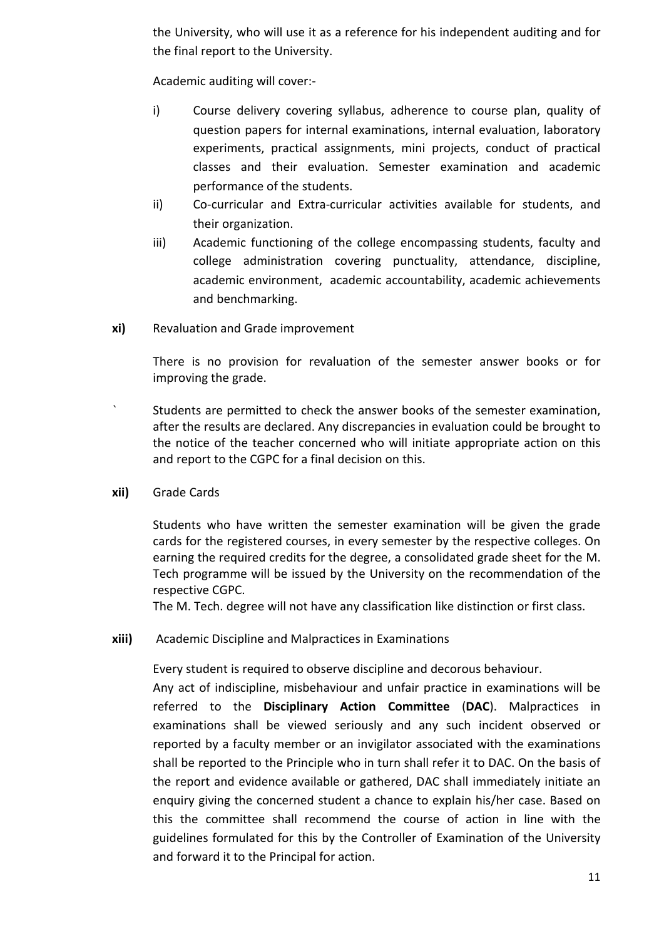the University, who will use it as a reference for his independent auditing and for the final report to the University.

Academic auditing will cover:-

- i) Course delivery covering syllabus, adherence to course plan, quality of question papers for internal examinations, internal evaluation, laboratory experiments, practical assignments, mini projects, conduct of practical classes and their evaluation. Semester examination and academic performance of the students.
- ii) Co-curricular and Extra-curricular activities available for students, and their organization.
- iii) Academic functioning of the college encompassing students, faculty and college administration covering punctuality, attendance, discipline, academic environment, academic accountability, academic achievements and benchmarking.
- xi) Revaluation and Grade improvement

There is no provision for revaluation of the semester answer books or for improving the grade.

- ` Students are permitted to check the answer books of the semester examination, after the results are declared. Any discrepancies in evaluation could be brought to the notice of the teacher concerned who will initiate appropriate action on this and report to the CGPC for a final decision on this.
- xii) Grade Cards

Students who have written the semester examination will be given the grade cards for the registered courses, in every semester by the respective colleges. On earning the required credits for the degree, a consolidated grade sheet for the M. Tech programme will be issued by the University on the recommendation of the respective CGPC.

The M. Tech. degree will not have any classification like distinction or first class.

xiii) Academic Discipline and Malpractices in Examinations

Every student is required to observe discipline and decorous behaviour.

Any act of indiscipline, misbehaviour and unfair practice in examinations will be referred to the Disciplinary Action Committee (DAC). Malpractices in examinations shall be viewed seriously and any such incident observed or reported by a faculty member or an invigilator associated with the examinations shall be reported to the Principle who in turn shall refer it to DAC. On the basis of the report and evidence available or gathered, DAC shall immediately initiate an enquiry giving the concerned student a chance to explain his/her case. Based on this the committee shall recommend the course of action in line with the guidelines formulated for this by the Controller of Examination of the University and forward it to the Principal for action.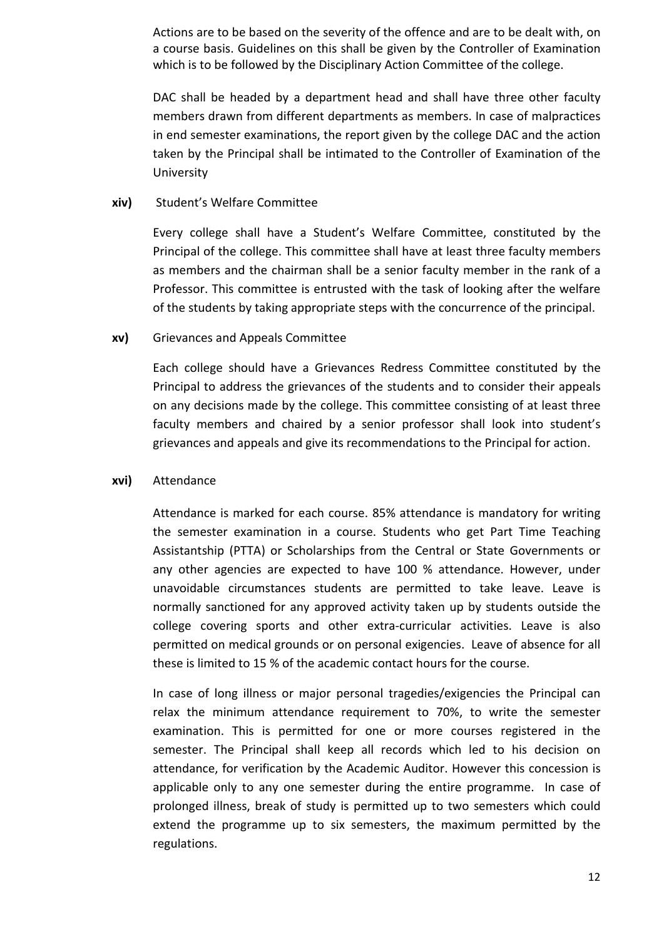Actions are to be based on the severity of the offence and are to be dealt with, on a course basis. Guidelines on this shall be given by the Controller of Examination which is to be followed by the Disciplinary Action Committee of the college.

DAC shall be headed by a department head and shall have three other faculty members drawn from different departments as members. In case of malpractices in end semester examinations, the report given by the college DAC and the action taken by the Principal shall be intimated to the Controller of Examination of the University

### xiv) Student's Welfare Committee

Every college shall have a Student's Welfare Committee, constituted by the Principal of the college. This committee shall have at least three faculty members as members and the chairman shall be a senior faculty member in the rank of a Professor. This committee is entrusted with the task of looking after the welfare of the students by taking appropriate steps with the concurrence of the principal.

### xv) Grievances and Appeals Committee

Each college should have a Grievances Redress Committee constituted by the Principal to address the grievances of the students and to consider their appeals on any decisions made by the college. This committee consisting of at least three faculty members and chaired by a senior professor shall look into student's grievances and appeals and give its recommendations to the Principal for action.

#### xvi) Attendance

Attendance is marked for each course. 85% attendance is mandatory for writing the semester examination in a course. Students who get Part Time Teaching Assistantship (PTTA) or Scholarships from the Central or State Governments or any other agencies are expected to have 100 % attendance. However, under unavoidable circumstances students are permitted to take leave. Leave is normally sanctioned for any approved activity taken up by students outside the college covering sports and other extra-curricular activities. Leave is also permitted on medical grounds or on personal exigencies. Leave of absence for all these is limited to 15 % of the academic contact hours for the course.

In case of long illness or major personal tragedies/exigencies the Principal can relax the minimum attendance requirement to 70%, to write the semester examination. This is permitted for one or more courses registered in the semester. The Principal shall keep all records which led to his decision on attendance, for verification by the Academic Auditor. However this concession is applicable only to any one semester during the entire programme. In case of prolonged illness, break of study is permitted up to two semesters which could extend the programme up to six semesters, the maximum permitted by the regulations.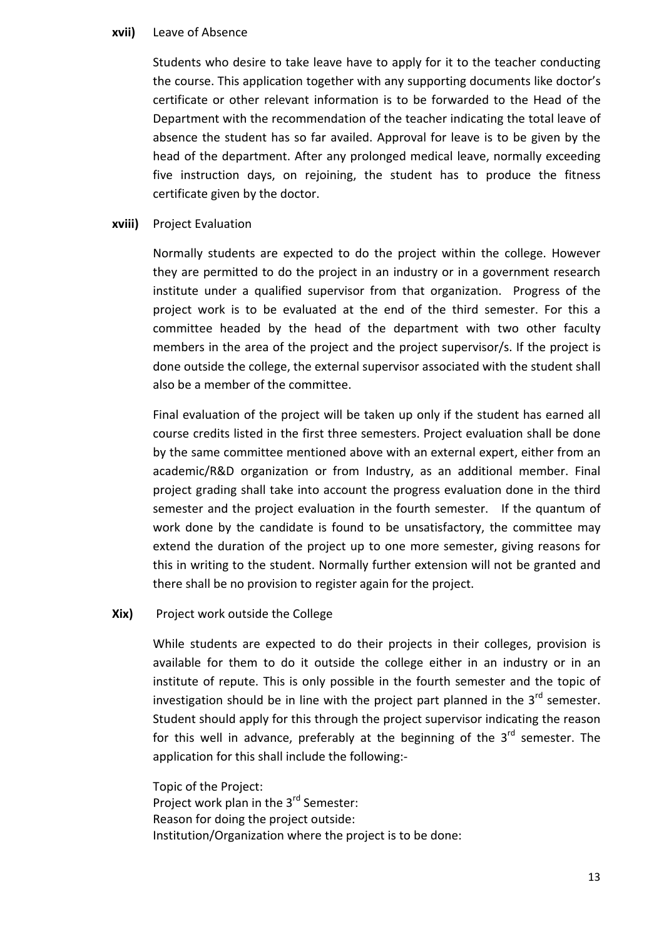#### xvii) Leave of Absence

Students who desire to take leave have to apply for it to the teacher conducting the course. This application together with any supporting documents like doctor's certificate or other relevant information is to be forwarded to the Head of the Department with the recommendation of the teacher indicating the total leave of absence the student has so far availed. Approval for leave is to be given by the head of the department. After any prolonged medical leave, normally exceeding five instruction days, on rejoining, the student has to produce the fitness certificate given by the doctor.

#### xviii) Project Evaluation

Normally students are expected to do the project within the college. However they are permitted to do the project in an industry or in a government research institute under a qualified supervisor from that organization. Progress of the project work is to be evaluated at the end of the third semester. For this a committee headed by the head of the department with two other faculty members in the area of the project and the project supervisor/s. If the project is done outside the college, the external supervisor associated with the student shall also be a member of the committee.

Final evaluation of the project will be taken up only if the student has earned all course credits listed in the first three semesters. Project evaluation shall be done by the same committee mentioned above with an external expert, either from an academic/R&D organization or from Industry, as an additional member. Final project grading shall take into account the progress evaluation done in the third semester and the project evaluation in the fourth semester. If the quantum of work done by the candidate is found to be unsatisfactory, the committee may extend the duration of the project up to one more semester, giving reasons for this in writing to the student. Normally further extension will not be granted and there shall be no provision to register again for the project.

#### Xix) Project work outside the College

While students are expected to do their projects in their colleges, provision is available for them to do it outside the college either in an industry or in an institute of repute. This is only possible in the fourth semester and the topic of investigation should be in line with the project part planned in the  $3<sup>rd</sup>$  semester. Student should apply for this through the project supervisor indicating the reason for this well in advance, preferably at the beginning of the  $3<sup>rd</sup>$  semester. The application for this shall include the following:-

Topic of the Project: Project work plan in the 3rd Semester: Reason for doing the project outside: Institution/Organization where the project is to be done: